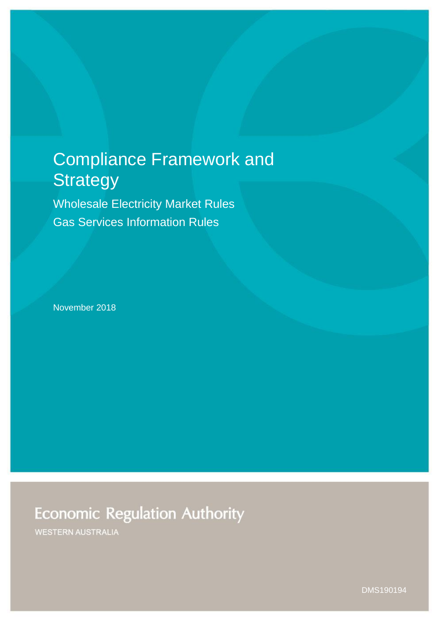# Compliance Framework and **Strategy**

Wholesale Electricity Market Rules Gas Services Information Rules

November 2018

# **Economic Regulation Authority**

**WESTERN AUSTRALIA** 

DMS190194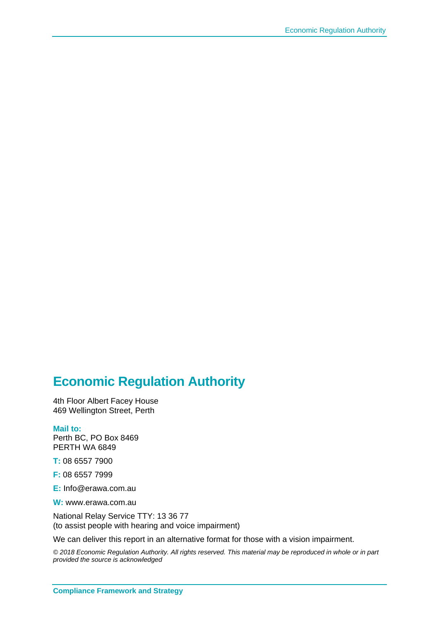### **Economic Regulation Authority**

4th Floor Albert Facey House 469 Wellington Street, Perth

#### **Mail to:**

Perth BC, PO Box 8469 PERTH WA 6849

**T:** 08 6557 7900

**F:** 08 6557 7999

**E:** Info@erawa.com.au

**W:** www.erawa.com.au

National Relay Service TTY: 13 36 77 (to assist people with hearing and voice impairment)

We can deliver this report in an alternative format for those with a vision impairment.

*© 2018 Economic Regulation Authority. All rights reserved. This material may be reproduced in whole or in part provided the source is acknowledged*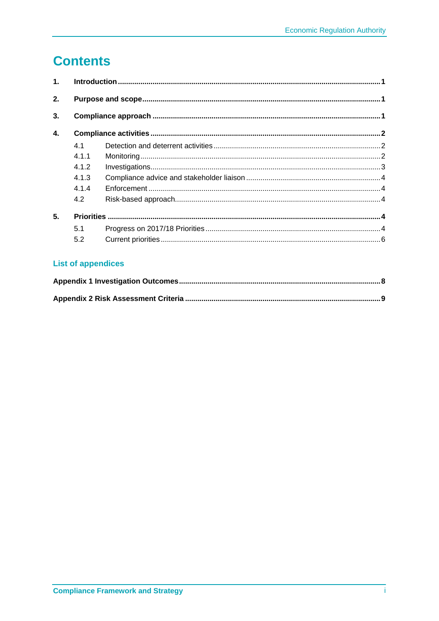## **Contents**

| 1. |       |  |  |  |
|----|-------|--|--|--|
| 2. |       |  |  |  |
| 3. |       |  |  |  |
| 4. |       |  |  |  |
|    | 4.1   |  |  |  |
|    | 4 1 1 |  |  |  |
|    | 4.1.2 |  |  |  |
|    | 4.1.3 |  |  |  |
|    | 4.1.4 |  |  |  |
|    | 4.2   |  |  |  |
| 5. |       |  |  |  |
|    | 5.1   |  |  |  |
|    | 5.2   |  |  |  |

#### **List of appendices**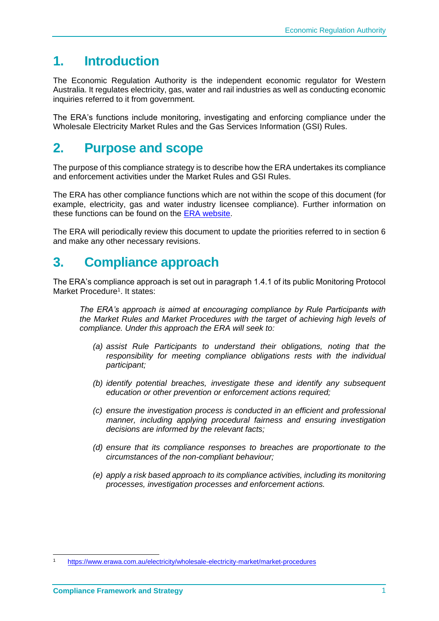### <span id="page-3-0"></span>**1. Introduction**

The Economic Regulation Authority is the independent economic regulator for Western Australia. It regulates electricity, gas, water and rail industries as well as conducting economic inquiries referred to it from government.

The ERA's functions include monitoring, investigating and enforcing compliance under the Wholesale Electricity Market Rules and the Gas Services Information (GSI) Rules.

### <span id="page-3-1"></span>**2. Purpose and scope**

The purpose of this compliance strategy is to describe how the ERA undertakes its compliance and enforcement activities under the Market Rules and GSI Rules.

The ERA has other compliance functions which are not within the scope of this document (for example, electricity, gas and water industry licensee compliance). Further information on these functions can be found on the [ERA website.](http://www.erawa.com.au/)

The ERA will periodically review this document to update the priorities referred to in section 6 and make any other necessary revisions.

### <span id="page-3-2"></span>**3. Compliance approach**

The ERA's compliance approach is set out in paragraph 1.4.1 of its public Monitoring Protocol Market Procedure<sup>1</sup>. It states:

*The ERA's approach is aimed at encouraging compliance by Rule Participants with the Market Rules and Market Procedures with the target of achieving high levels of compliance. Under this approach the ERA will seek to:*

- *(a) assist Rule Participants to understand their obligations, noting that the responsibility for meeting compliance obligations rests with the individual participant;*
- *(b) identify potential breaches, investigate these and identify any subsequent education or other prevention or enforcement actions required;*
- *(c) ensure the investigation process is conducted in an efficient and professional manner, including applying procedural fairness and ensuring investigation decisions are informed by the relevant facts;*
- *(d) ensure that its compliance responses to breaches are proportionate to the circumstances of the non-compliant behaviour;*
- *(e) apply a risk based approach to its compliance activities, including its monitoring processes, investigation processes and enforcement actions.*

<sup>1</sup> <https://www.erawa.com.au/electricity/wholesale-electricity-market/market-procedures>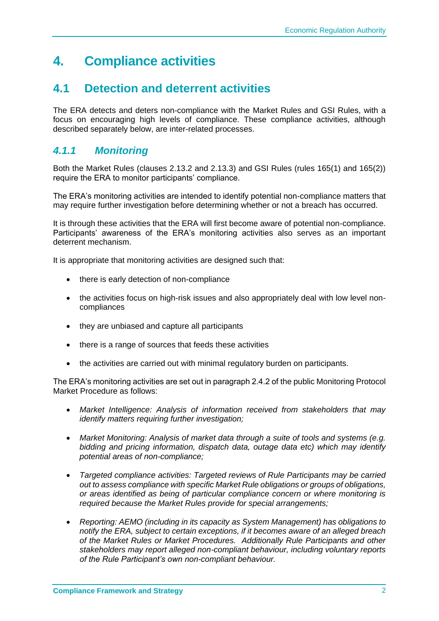### <span id="page-4-0"></span>**4. Compliance activities**

### <span id="page-4-1"></span>**4.1 Detection and deterrent activities**

The ERA detects and deters non-compliance with the Market Rules and GSI Rules, with a focus on encouraging high levels of compliance. These compliance activities, although described separately below, are inter-related processes.

#### <span id="page-4-2"></span>*4.1.1 Monitoring*

Both the Market Rules (clauses 2.13.2 and 2.13.3) and GSI Rules (rules 165(1) and 165(2)) require the ERA to monitor participants' compliance.

The ERA's monitoring activities are intended to identify potential non-compliance matters that may require further investigation before determining whether or not a breach has occurred.

It is through these activities that the ERA will first become aware of potential non-compliance. Participants' awareness of the ERA's monitoring activities also serves as an important deterrent mechanism.

It is appropriate that monitoring activities are designed such that:

- there is early detection of non-compliance
- the activities focus on high-risk issues and also appropriately deal with low level noncompliances
- they are unbiased and capture all participants
- there is a range of sources that feeds these activities
- the activities are carried out with minimal regulatory burden on participants.

The ERA's monitoring activities are set out in paragraph 2.4.2 of the public Monitoring Protocol Market Procedure as follows:

- *Market Intelligence: Analysis of information received from stakeholders that may identify matters requiring further investigation;*
- *Market Monitoring: Analysis of market data through a suite of tools and systems (e.g. bidding and pricing information, dispatch data, outage data etc) which may identify potential areas of non-compliance;*
- *Targeted compliance activities: Targeted reviews of Rule Participants may be carried out to assess compliance with specific Market Rule obligations or groups of obligations, or areas identified as being of particular compliance concern or where monitoring is required because the Market Rules provide for special arrangements;*
- *Reporting: AEMO (including in its capacity as System Management) has obligations to notify the ERA, subject to certain exceptions, if it becomes aware of an alleged breach of the Market Rules or Market Procedures. Additionally Rule Participants and other stakeholders may report alleged non-compliant behaviour, including voluntary reports of the Rule Participant's own non-compliant behaviour.*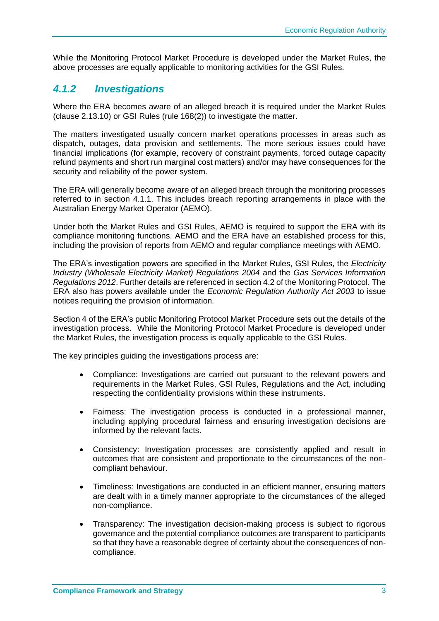While the Monitoring Protocol Market Procedure is developed under the Market Rules, the above processes are equally applicable to monitoring activities for the GSI Rules.

#### <span id="page-5-0"></span>*4.1.2 Investigations*

Where the ERA becomes aware of an alleged breach it is required under the Market Rules (clause 2.13.10) or GSI Rules (rule 168(2)) to investigate the matter.

The matters investigated usually concern market operations processes in areas such as dispatch, outages, data provision and settlements. The more serious issues could have financial implications (for example, recovery of constraint payments, forced outage capacity refund payments and short run marginal cost matters) and/or may have consequences for the security and reliability of the power system.

The ERA will generally become aware of an alleged breach through the monitoring processes referred to in section 4.1.1. This includes breach reporting arrangements in place with the Australian Energy Market Operator (AEMO).

Under both the Market Rules and GSI Rules, AEMO is required to support the ERA with its compliance monitoring functions. AEMO and the ERA have an established process for this, including the provision of reports from AEMO and regular compliance meetings with AEMO.

The ERA's investigation powers are specified in the Market Rules, GSI Rules, the *Electricity Industry (Wholesale Electricity Market) Regulations 2004* and the *Gas Services Information Regulations 2012*. Further details are referenced in section 4.2 of the Monitoring Protocol. The ERA also has powers available under the *Economic Regulation Authority Act 2003* to issue notices requiring the provision of information*.*

Section 4 of the ERA's public Monitoring Protocol Market Procedure sets out the details of the investigation process. While the Monitoring Protocol Market Procedure is developed under the Market Rules, the investigation process is equally applicable to the GSI Rules.

The key principles guiding the investigations process are:

- Compliance: Investigations are carried out pursuant to the relevant powers and requirements in the Market Rules, GSI Rules, Regulations and the Act, including respecting the confidentiality provisions within these instruments.
- Fairness: The investigation process is conducted in a professional manner, including applying procedural fairness and ensuring investigation decisions are informed by the relevant facts.
- Consistency: Investigation processes are consistently applied and result in outcomes that are consistent and proportionate to the circumstances of the noncompliant behaviour.
- Timeliness: Investigations are conducted in an efficient manner, ensuring matters are dealt with in a timely manner appropriate to the circumstances of the alleged non-compliance.
- Transparency: The investigation decision-making process is subject to rigorous governance and the potential compliance outcomes are transparent to participants so that they have a reasonable degree of certainty about the consequences of noncompliance.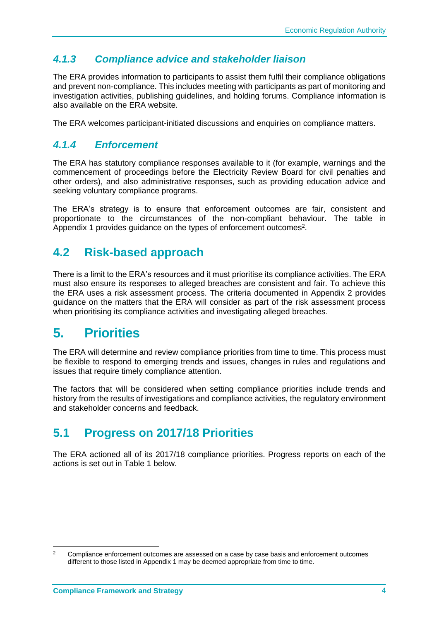#### <span id="page-6-0"></span>*4.1.3 Compliance advice and stakeholder liaison*

The ERA provides information to participants to assist them fulfil their compliance obligations and prevent non-compliance. This includes meeting with participants as part of monitoring and investigation activities, publishing guidelines, and holding forums. Compliance information is also available on the ERA website.

The ERA welcomes participant-initiated discussions and enquiries on compliance matters.

#### <span id="page-6-1"></span>*4.1.4 Enforcement*

The ERA has statutory compliance responses available to it (for example, warnings and the commencement of proceedings before the Electricity Review Board for civil penalties and other orders), and also administrative responses, such as providing education advice and seeking voluntary compliance programs.

The ERA's strategy is to ensure that enforcement outcomes are fair, consistent and proportionate to the circumstances of the non-compliant behaviour. The table in Appendix 1 provides guidance on the types of enforcement outcomes<sup>2</sup>.

### <span id="page-6-2"></span>**4.2 Risk-based approach**

There is a limit to the ERA's resources and it must prioritise its compliance activities. The ERA must also ensure its responses to alleged breaches are consistent and fair. To achieve this the ERA uses a risk assessment process. The criteria documented in Appendix 2 provides guidance on the matters that the ERA will consider as part of the risk assessment process when prioritising its compliance activities and investigating alleged breaches.

### <span id="page-6-3"></span>**5. Priorities**

The ERA will determine and review compliance priorities from time to time. This process must be flexible to respond to emerging trends and issues, changes in rules and regulations and issues that require timely compliance attention.

The factors that will be considered when setting compliance priorities include trends and history from the results of investigations and compliance activities, the regulatory environment and stakeholder concerns and feedback.

### <span id="page-6-4"></span>**5.1 Progress on 2017/18 Priorities**

The ERA actioned all of its 2017/18 compliance priorities. Progress reports on each of the actions is set out in Table 1 below.

 $\overline{a}$ 

<sup>2</sup> Compliance enforcement outcomes are assessed on a case by case basis and enforcement outcomes different to those listed in Appendix 1 may be deemed appropriate from time to time.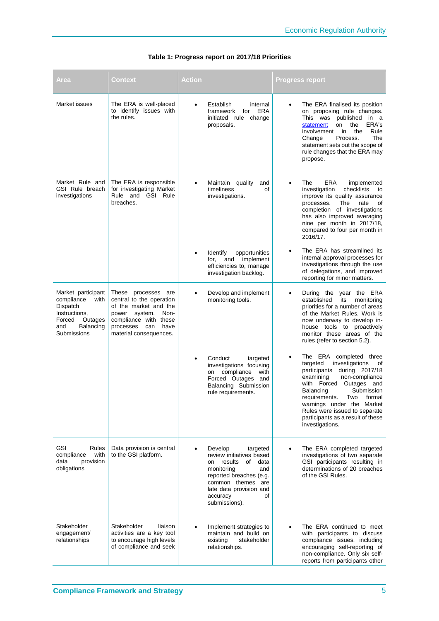| Area                                                                                                                          | Context                                                                                                                                                                                | Action                                                                                                                                                                                       | <b>Progress report</b>                                                                                                                                                                                                                                                                                                                             |
|-------------------------------------------------------------------------------------------------------------------------------|----------------------------------------------------------------------------------------------------------------------------------------------------------------------------------------|----------------------------------------------------------------------------------------------------------------------------------------------------------------------------------------------|----------------------------------------------------------------------------------------------------------------------------------------------------------------------------------------------------------------------------------------------------------------------------------------------------------------------------------------------------|
| Market issues                                                                                                                 | The ERA is well-placed<br>to identify issues with<br>the rules.                                                                                                                        | Establish<br>internal<br>$\bullet$<br>for<br>framework<br>initiated rule change<br>proposals.                                                                                                | The ERA finalised its position<br>ERA<br>on proposing rule changes.<br>This was published in a<br>statement<br>on<br>the<br>ERA's<br>involvement<br>Rule<br>in<br>the<br>Change<br>Process.<br>The<br>statement sets out the scope of<br>rule changes that the ERA may<br>propose.                                                                 |
| Market Rule and<br>GSI Rule breach<br>investigations                                                                          | The ERA is responsible<br>for investigating Market<br>Rule and GSI Rule<br>breaches.                                                                                                   | Maintain quality<br>timeliness<br>investigations.                                                                                                                                            | ERA<br>The<br>implemented<br>and<br>investigation<br>checklists<br>οf<br>to<br>improve its quality assurance<br>processes.<br>The<br>rate<br>οf<br>completion of investigations<br>has also improved averaging<br>nine per month in 2017/18,<br>compared to four per month in<br>2016/17.                                                          |
|                                                                                                                               |                                                                                                                                                                                        | <b>Identify</b><br>opportunities<br>implement<br>and<br>for,<br>efficiencies to, manage<br>investigation backlog.                                                                            | The ERA has streamlined its<br>$\bullet$<br>internal approval processes for<br>investigations through the use<br>of delegations, and improved<br>reporting for minor matters.                                                                                                                                                                      |
| Market participant<br>compliance<br>with<br>Dispatch<br>Instructions,<br>Forced<br>Outages<br>Balancing<br>and<br>Submissions | These processes<br>are<br>central to the operation<br>of the market and the<br>power<br>system.<br>Non-<br>compliance with these<br>processes<br>can<br>have<br>material consequences. | Develop and implement<br>monitoring tools.                                                                                                                                                   | During the year the ERA<br>established<br>its<br>monitoring<br>priorities for a number of areas<br>of the Market Rules. Work is<br>now underway to develop in-<br>house tools to proactively<br>monitor these areas of the<br>rules (refer to section 5.2).                                                                                        |
|                                                                                                                               |                                                                                                                                                                                        | Conduct<br>targeted<br>investigations focusing<br>on compliance<br>Forced Outages and<br>Balancing Submission<br>rule requirements.                                                          | The ERA completed three<br>targeted<br>investigations<br>οf<br>participants<br>during 2017/18<br>with<br>examining<br>non-compliance<br>with Forced<br>Outages and<br>Submission<br>Balancing<br>requirements.<br>Two formal<br>warnings under the Market<br>Rules were issued to separate<br>participants as a result of these<br>investigations. |
| <b>GSI</b><br>Rules<br>with<br>compliance<br>provision<br>data<br>obligations                                                 | Data provision is central<br>to the GSI platform.                                                                                                                                      | Develop<br>targeted<br>review initiatives based<br>results<br>of<br>on<br>monitoring<br>reported breaches (e.g.<br>common themes are<br>late data provision and<br>accuracy<br>submissions). | The ERA completed targeted<br>investigations of two separate<br>GSI participants resulting in<br>data<br>determinations of 20 breaches<br>and<br>of the GSI Rules.<br>οf                                                                                                                                                                           |
| Stakeholder<br>engagement/<br>relationships                                                                                   | Stakeholder<br>liaison<br>activities are a key tool<br>to encourage high levels<br>of compliance and seek                                                                              | Implement strategies to<br>maintain and build on<br>existing<br>stakeholder<br>relationships.                                                                                                | The ERA continued to meet<br>with participants to discuss<br>compliance issues, including<br>encouraging self-reporting of<br>non-compliance. Only six self-<br>reports from participants other                                                                                                                                                    |

#### **Table 1: Progress report on 2017/18 Priorities**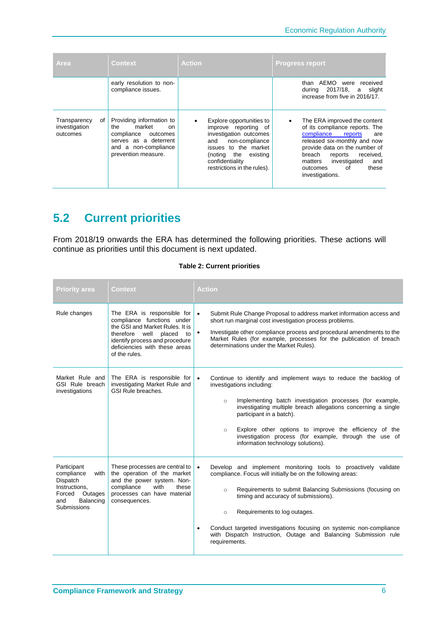| Area                                            | <b>Context</b>                                                                                                                                               | <b>Action</b>                                                                                                                                                                                               | <b>Progress report</b>                                                                                                                                                                                                                                                         |
|-------------------------------------------------|--------------------------------------------------------------------------------------------------------------------------------------------------------------|-------------------------------------------------------------------------------------------------------------------------------------------------------------------------------------------------------------|--------------------------------------------------------------------------------------------------------------------------------------------------------------------------------------------------------------------------------------------------------------------------------|
|                                                 | early resolution to non-<br>compliance issues.                                                                                                               |                                                                                                                                                                                                             | than AEMO were<br>received<br>2017/18, a slight<br>during<br>increase from five in 2016/17.                                                                                                                                                                                    |
| Transparency<br>of<br>investigation<br>outcomes | Providing information to<br>market<br>the<br><sub>on</sub><br>compliance<br>outcomes<br>serves as a deterrent<br>and a non-compliance<br>prevention measure. | Explore opportunities to<br>improve reporting of<br>investigation outcomes<br>non-compliance<br>and<br>issues to the market<br>the<br>(noting<br>existing<br>confidentiality<br>restrictions in the rules). | The ERA improved the content<br>of its compliance reports. The<br>compliance reports<br>are<br>released six-monthly and now<br>provide data on the number of<br>received.<br>breach<br>reports<br>investigated<br>matters<br>and<br>outcomes<br>of<br>these<br>investigations. |

### <span id="page-8-0"></span>**5.2 Current priorities**

From 2018/19 onwards the ERA has determined the following priorities. These actions will continue as priorities until this document is next updated.

|  |  |  | <b>Table 2: Current priorities</b> |
|--|--|--|------------------------------------|
|--|--|--|------------------------------------|

| <b>Priority area</b>                                                                                                   | Context                                                                                                                                                                                                        | <b>Action</b>                                                                                                                                                                                                                                                                                                                                                                                                                                                    |
|------------------------------------------------------------------------------------------------------------------------|----------------------------------------------------------------------------------------------------------------------------------------------------------------------------------------------------------------|------------------------------------------------------------------------------------------------------------------------------------------------------------------------------------------------------------------------------------------------------------------------------------------------------------------------------------------------------------------------------------------------------------------------------------------------------------------|
| Rule changes                                                                                                           | The ERA is responsible for<br>compliance functions under<br>the GSI and Market Rules. It is<br>therefore well placed<br>to<br>identify process and procedure<br>deficiencies with these areas<br>of the rules. | Submit Rule Change Proposal to address market information access and<br>short run marginal cost investigation process problems.<br>Investigate other compliance process and procedural amendments to the<br>$\bullet$<br>Market Rules (for example, processes for the publication of breach<br>determinations under the Market Rules).                                                                                                                           |
| Market Rule and<br>GSI Rule breach<br>investigations                                                                   | The ERA is responsible for<br>investigating Market Rule and<br>GSI Rule breaches.                                                                                                                              | Continue to identify and implement ways to reduce the backlog of<br>$\bullet$<br>investigations including:<br>Implementing batch investigation processes (for example,<br>$\circ$<br>investigating multiple breach allegations concerning a single<br>participant in a batch).<br>Explore other options to improve the efficiency of the<br>$\circ$<br>investigation process (for example, through the use of<br>information technology solutions).              |
| Participant<br>compliance<br>with<br>Dispatch<br>Instructions,<br>Forced<br>Outages<br>Balancing<br>and<br>Submissions | These processes are central to<br>the operation of the market<br>and the power system. Non-<br>compliance<br>with<br>these<br>processes can have material<br>consequences.                                     | Develop and implement monitoring tools to proactively validate<br>$\bullet$<br>compliance. Focus will initially be on the following areas:<br>Requirements to submit Balancing Submissions (focusing on<br>$\circ$<br>timing and accuracy of submissions).<br>Requirements to log outages.<br>$\circ$<br>Conduct targeted investigations focusing on systemic non-compliance<br>with Dispatch Instruction, Outage and Balancing Submission rule<br>requirements. |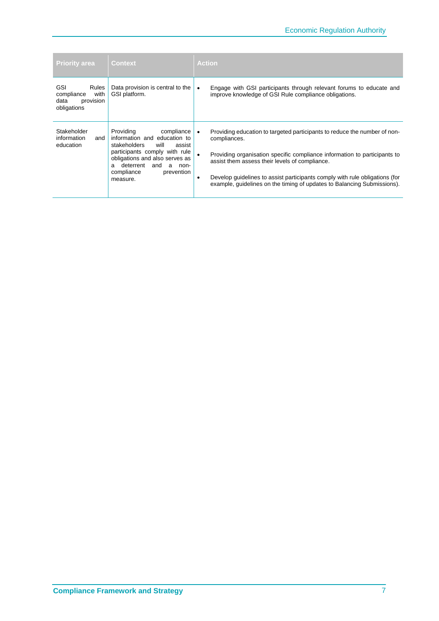| <b>Priority area</b>                                                                 | Context                                                                                                                                                                                                                                    | <b>Action</b>                                                                                                                                                                                                                                                                                                                                                                                                |
|--------------------------------------------------------------------------------------|--------------------------------------------------------------------------------------------------------------------------------------------------------------------------------------------------------------------------------------------|--------------------------------------------------------------------------------------------------------------------------------------------------------------------------------------------------------------------------------------------------------------------------------------------------------------------------------------------------------------------------------------------------------------|
| <b>GSI</b><br><b>Rules</b><br>with<br>compliance<br>data<br>provision<br>obligations | Data provision is central to the<br>GSI platform.                                                                                                                                                                                          | Engage with GSI participants through relevant forums to educate and<br>$\bullet$<br>improve knowledge of GSI Rule compliance obligations.                                                                                                                                                                                                                                                                    |
| Stakeholder<br>information<br>and<br>education                                       | Providing<br>compliance<br>information and education to<br>stakeholders<br>will<br>assist<br>participants comply with rule<br>obligations and also serves as<br>deterrent<br>and<br>a<br>non-<br>a<br>compliance<br>prevention<br>measure. | Providing education to targeted participants to reduce the number of non-<br>$\bullet$<br>compliances.<br>Providing organisation specific compliance information to participants to<br>assist them assess their levels of compliance.<br>Develop guidelines to assist participants comply with rule obligations (for<br>$\bullet$<br>example, quidelines on the timing of updates to Balancing Submissions). |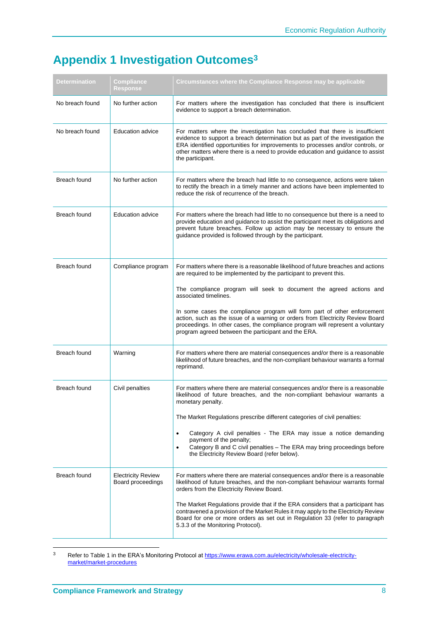## <span id="page-10-0"></span>**Appendix 1 Investigation Outcomes<sup>3</sup>**

| Determination   | Compliance<br><b>Response</b>                  | Circumstances where the Compliance Response may be applicable                                                                                                                                                                                                                                                                                                                                                                                                                                                                                                  |
|-----------------|------------------------------------------------|----------------------------------------------------------------------------------------------------------------------------------------------------------------------------------------------------------------------------------------------------------------------------------------------------------------------------------------------------------------------------------------------------------------------------------------------------------------------------------------------------------------------------------------------------------------|
| No breach found | No further action                              | For matters where the investigation has concluded that there is insufficient<br>evidence to support a breach determination.                                                                                                                                                                                                                                                                                                                                                                                                                                    |
| No breach found | <b>Education advice</b>                        | For matters where the investigation has concluded that there is insufficient<br>evidence to support a breach determination but as part of the investigation the<br>ERA identified opportunities for improvements to processes and/or controls, or<br>other matters where there is a need to provide education and guidance to assist<br>the participant.                                                                                                                                                                                                       |
| Breach found    | No further action                              | For matters where the breach had little to no consequence, actions were taken<br>to rectify the breach in a timely manner and actions have been implemented to<br>reduce the risk of recurrence of the breach.                                                                                                                                                                                                                                                                                                                                                 |
| Breach found    | <b>Education advice</b>                        | For matters where the breach had little to no consequence but there is a need to<br>provide education and guidance to assist the participant meet its obligations and<br>prevent future breaches. Follow up action may be necessary to ensure the<br>guidance provided is followed through by the participant.                                                                                                                                                                                                                                                 |
| Breach found    | Compliance program                             | For matters where there is a reasonable likelihood of future breaches and actions<br>are required to be implemented by the participant to prevent this.<br>The compliance program will seek to document the agreed actions and<br>associated timelines.<br>In some cases the compliance program will form part of other enforcement<br>action, such as the issue of a warning or orders from Electricity Review Board<br>proceedings. In other cases, the compliance program will represent a voluntary<br>program agreed between the participant and the ERA. |
| Breach found    | Warning                                        | For matters where there are material consequences and/or there is a reasonable<br>likelihood of future breaches, and the non-compliant behaviour warrants a formal<br>reprimand.                                                                                                                                                                                                                                                                                                                                                                               |
| Breach found    | Civil penalties                                | For matters where there are material consequences and/or there is a reasonable<br>likelihood of future breaches, and the non-compliant behaviour warrants a<br>monetary penalty.<br>The Market Regulations prescribe different categories of civil penalties:<br>Category A civil penalties - The ERA may issue a notice demanding<br>$\bullet$<br>payment of the penalty;<br>Category B and C civil penalties - The ERA may bring proceedings before<br>$\bullet$<br>the Electricity Review Board (refer below).                                              |
| Breach found    | <b>Electricity Review</b><br>Board proceedings | For matters where there are material consequences and/or there is a reasonable<br>likelihood of future breaches, and the non-compliant behaviour warrants formal<br>orders from the Electricity Review Board.<br>The Market Regulations provide that if the ERA considers that a participant has<br>contravened a provision of the Market Rules it may apply to the Electricity Review<br>Board for one or more orders as set out in Regulation 33 (refer to paragraph<br>5.3.3 of the Monitoring Protocol).                                                   |

 $\overline{3}$ <sup>3</sup> Refer to Table 1 in the ERA's Monitoring Protocol a[t https://www.erawa.com.au/electricity/wholesale-electricity](https://www.erawa.com.au/electricity/wholesale-electricity-market/market-procedures)[market/market-procedures](https://www.erawa.com.au/electricity/wholesale-electricity-market/market-procedures)